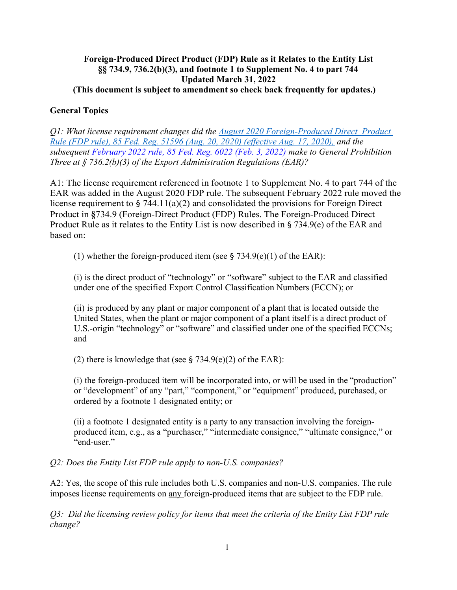## Foreign-Produced Direct Product (FDP) Rule as it Relates to the Entity List §§ 734.9, 736.2(b)(3), and footnote 1 to Supplement No. 4 to part 744 Updated March 31, 2022 (This document is subject to amendment so check back frequently for updates.)

# General Topics

Q1: What license requirement changes did the August 2020 Foreign-Produced Direct Product Rule (FDP rule), 85 Fed. Reg. 51596 (Aug. 20, 2020) (effective Aug. 17, 2020), and the subsequent February 2022 rule, 85 Fed. Reg. 6022 (Feb. 3, 2022) make to General Prohibition Three at § 736.2(b)(3) of the Export Administration Regulations (EAR)?

A1: The license requirement referenced in footnote 1 to Supplement No. 4 to part 744 of the EAR was added in the August 2020 FDP rule. The subsequent February 2022 rule moved the license requirement to § 744.11(a)(2) and consolidated the provisions for Foreign Direct Product in §734.9 (Foreign-Direct Product (FDP) Rules. The Foreign-Produced Direct Product Rule as it relates to the Entity List is now described in § 734.9(e) of the EAR and based on:

(1) whether the foreign-produced item (see § 734.9(e)(1) of the EAR):

(i) is the direct product of "technology" or "software" subject to the EAR and classified under one of the specified Export Control Classification Numbers (ECCN); or

(ii) is produced by any plant or major component of a plant that is located outside the United States, when the plant or major component of a plant itself is a direct product of U.S.-origin "technology" or "software" and classified under one of the specified ECCNs; and

(2) there is knowledge that (see § 734.9(e)(2) of the EAR):

(i) the foreign-produced item will be incorporated into, or will be used in the "production" or "development" of any "part," "component," or "equipment" produced, purchased, or ordered by a footnote 1 designated entity; or

(ii) a footnote 1 designated entity is a party to any transaction involving the foreignproduced item, e.g., as a "purchaser," "intermediate consignee," "ultimate consignee," or "end-user."

Q2: Does the Entity List FDP rule apply to non-U.S. companies?

A2: Yes, the scope of this rule includes both U.S. companies and non-U.S. companies. The rule imposes license requirements on any foreign-produced items that are subject to the FDP rule.

Q3: Did the licensing review policy for items that meet the criteria of the Entity List FDP rule change?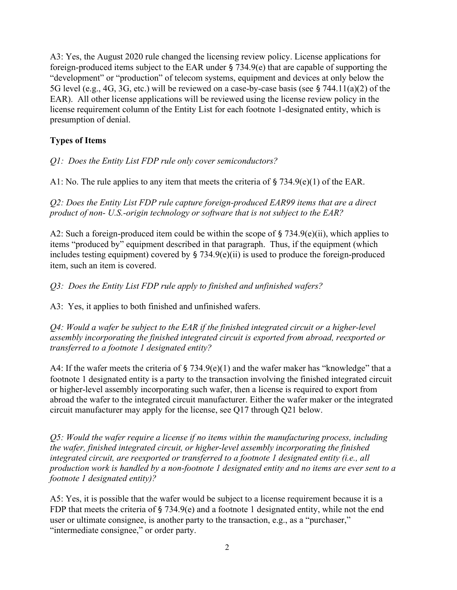A3: Yes, the August 2020 rule changed the licensing review policy. License applications for foreign-produced items subject to the EAR under § 734.9(e) that are capable of supporting the "development" or "production" of telecom systems, equipment and devices at only below the 5G level (e.g., 4G, 3G, etc.) will be reviewed on a case-by-case basis (see § 744.11(a)(2) of the EAR). All other license applications will be reviewed using the license review policy in the license requirement column of the Entity List for each footnote 1-designated entity, which is presumption of denial.

# Types of Items

Q1: Does the Entity List FDP rule only cover semiconductors?

A1: No. The rule applies to any item that meets the criteria of  $\S 734.9(e)(1)$  of the EAR.

Q2: Does the Entity List FDP rule capture foreign-produced EAR99 items that are a direct product of non- U.S.-origin technology or software that is not subject to the EAR?

A2: Such a foreign-produced item could be within the scope of § 734.9(e)(ii), which applies to items "produced by" equipment described in that paragraph. Thus, if the equipment (which includes testing equipment) covered by  $\S$  734.9(e)(ii) is used to produce the foreign-produced item, such an item is covered.

Q3: Does the Entity List FDP rule apply to finished and unfinished wafers?

A3: Yes, it applies to both finished and unfinished wafers.

Q4: Would a wafer be subject to the EAR if the finished integrated circuit or a higher-level assembly incorporating the finished integrated circuit is exported from abroad, reexported or transferred to a footnote 1 designated entity?

A4: If the wafer meets the criteria of § 734.9(e)(1) and the wafer maker has "knowledge" that a footnote 1 designated entity is a party to the transaction involving the finished integrated circuit or higher-level assembly incorporating such wafer, then a license is required to export from abroad the wafer to the integrated circuit manufacturer. Either the wafer maker or the integrated circuit manufacturer may apply for the license, see Q17 through Q21 below.

Q5: Would the wafer require a license if no items within the manufacturing process, including the wafer, finished integrated circuit, or higher-level assembly incorporating the finished integrated circuit, are reexported or transferred to a footnote 1 designated entity (i.e., all production work is handled by a non-footnote 1 designated entity and no items are ever sent to a footnote 1 designated entity)?

A5: Yes, it is possible that the wafer would be subject to a license requirement because it is a FDP that meets the criteria of § 734.9(e) and a footnote 1 designated entity, while not the end user or ultimate consignee, is another party to the transaction, e.g., as a "purchaser," "intermediate consignee," or order party.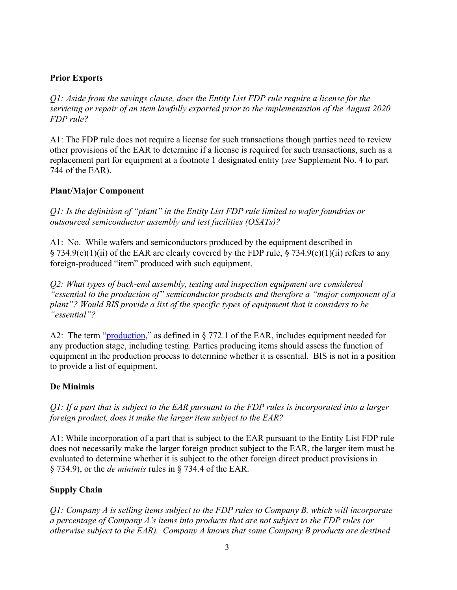# Prior Exports

Q1: Aside from the savings clause, does the Entity List FDP rule require a license for the servicing or repair of an item lawfully exported prior to the implementation of the August 2020 FDP rule?

A1: The FDP rule does not require a license for such transactions though parties need to review other provisions of the EAR to determine if a license is required for such transactions, such as a replacement part for equipment at a footnote 1 designated entity (see Supplement No. 4 to part 744 of the EAR).

# Plant/Major Component

Q1: Is the definition of "plant" in the Entity List FDP rule limited to wafer foundries or outsourced semiconductor assembly and test facilities (OSATs)?

A1: No. While wafers and semiconductors produced by the equipment described in § 734.9(e)(1)(ii) of the EAR are clearly covered by the FDP rule, § 734.9(e)(1)(ii) refers to any foreign-produced "item" produced with such equipment.

Q2: What types of back-end assembly, testing and inspection equipment are considered "essential to the production of" semiconductor products and therefore a "major component of a plant"? Would BIS provide a list of the specific types of equipment that it considers to be "essential"?

A2: The term "production," as defined in § 772.1 of the EAR, includes equipment needed for any production stage, including testing. Parties producing items should assess the function of equipment in the production process to determine whether it is essential. BIS is not in a position to provide a list of equipment.

# De Minimis

Q1: If a part that is subject to the EAR pursuant to the FDP rules is incorporated into a larger foreign product, does it make the larger item subject to the EAR?

A1: While incorporation of a part that is subject to the EAR pursuant to the Entity List FDP rule does not necessarily make the larger foreign product subject to the EAR, the larger item must be evaluated to determine whether it is subject to the other foreign direct product provisions in § 734.9), or the *de minimis* rules in § 734.4 of the EAR.

# Supply Chain

Q1: Company A is selling items subject to the FDP rules to Company B, which will incorporate a percentage of Company A's items into products that are not subject to the FDP rules (or otherwise subject to the EAR). Company A knows that some Company B products are destined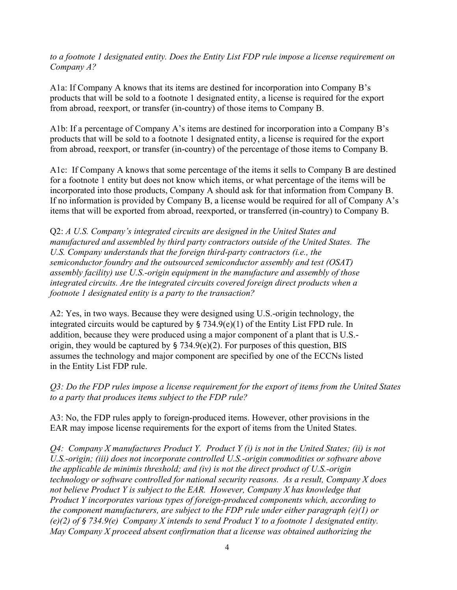to a footnote 1 designated entity. Does the Entity List FDP rule impose a license requirement on Company A?

A1a: If Company A knows that its items are destined for incorporation into Company B's products that will be sold to a footnote 1 designated entity, a license is required for the export from abroad, reexport, or transfer (in-country) of those items to Company B.

A1b: If a percentage of Company A's items are destined for incorporation into a Company B's products that will be sold to a footnote 1 designated entity, a license is required for the export from abroad, reexport, or transfer (in-country) of the percentage of those items to Company B.

A1c: If Company A knows that some percentage of the items it sells to Company B are destined for a footnote 1 entity but does not know which items, or what percentage of the items will be incorporated into those products, Company A should ask for that information from Company B. If no information is provided by Company B, a license would be required for all of Company A's items that will be exported from abroad, reexported, or transferred (in-country) to Company B.

Q2: A U.S. Company's integrated circuits are designed in the United States and manufactured and assembled by third party contractors outside of the United States. The U.S. Company understands that the foreign third-party contractors (i.e., the semiconductor foundry and the outsourced semiconductor assembly and test (OSAT) assembly facility) use U.S.-origin equipment in the manufacture and assembly of those integrated circuits. Are the integrated circuits covered foreign direct products when a footnote 1 designated entity is a party to the transaction?

A2: Yes, in two ways. Because they were designed using U.S.-origin technology, the integrated circuits would be captured by  $\S$  734.9(e)(1) of the Entity List FPD rule. In addition, because they were produced using a major component of a plant that is U.S. origin, they would be captured by  $\S$  734.9(e)(2). For purposes of this question, BIS assumes the technology and major component are specified by one of the ECCNs listed in the Entity List FDP rule.

Q3: Do the FDP rules impose a license requirement for the export of items from the United States to a party that produces items subject to the FDP rule?

A3: No, the FDP rules apply to foreign-produced items. However, other provisions in the EAR may impose license requirements for the export of items from the United States.

 $Q4$ : Company X manufactures Product Y. Product Y (i) is not in the United States; (ii) is not U.S.-origin; (iii) does not incorporate controlled U.S.-origin commodities or software above the applicable de minimis threshold; and (iv) is not the direct product of U.S.-origin technology or software controlled for national security reasons. As a result, Company X does not believe Product Y is subject to the EAR. However, Company X has knowledge that Product Y incorporates various types of foreign-produced components which, according to the component manufacturers, are subject to the FDP rule under either paragraph  $(e)(1)$  or (e)(2) of § 734.9(e) Company X intends to send Product Y to a footnote 1 designated entity. May Company  $X$  proceed absent confirmation that a license was obtained authorizing the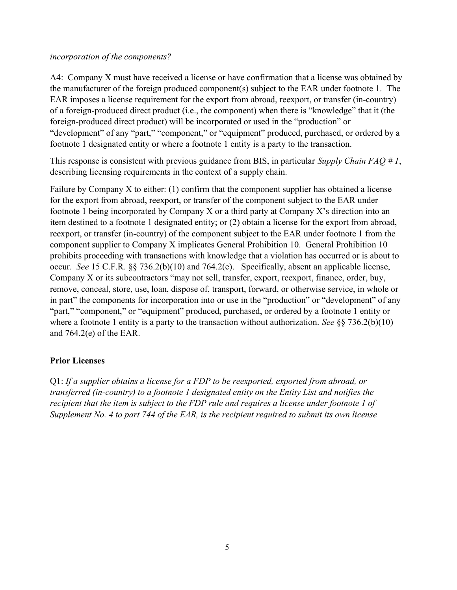#### incorporation of the components?

A4: Company X must have received a license or have confirmation that a license was obtained by the manufacturer of the foreign produced component(s) subject to the EAR under footnote 1. The EAR imposes a license requirement for the export from abroad, reexport, or transfer (in-country) of a foreign-produced direct product (i.e., the component) when there is "knowledge" that it (the foreign-produced direct product) will be incorporated or used in the "production" or "development" of any "part," "component," or "equipment" produced, purchased, or ordered by a footnote 1 designated entity or where a footnote 1 entity is a party to the transaction.

This response is consistent with previous guidance from BIS, in particular Supply Chain FAO # 1, describing licensing requirements in the context of a supply chain.

Failure by Company X to either: (1) confirm that the component supplier has obtained a license for the export from abroad, reexport, or transfer of the component subject to the EAR under footnote 1 being incorporated by Company X or a third party at Company X's direction into an item destined to a footnote 1 designated entity; or (2) obtain a license for the export from abroad, reexport, or transfer (in-country) of the component subject to the EAR under footnote 1 from the component supplier to Company X implicates General Prohibition 10. General Prohibition 10 prohibits proceeding with transactions with knowledge that a violation has occurred or is about to occur. See 15 C.F.R. §§ 736.2(b)(10) and 764.2(e). Specifically, absent an applicable license, Company X or its subcontractors "may not sell, transfer, export, reexport, finance, order, buy, remove, conceal, store, use, loan, dispose of, transport, forward, or otherwise service, in whole or in part" the components for incorporation into or use in the "production" or "development" of any "part," "component," or "equipment" produced, purchased, or ordered by a footnote 1 entity or where a footnote 1 entity is a party to the transaction without authorization. See  $\S$ § 736.2(b)(10) and 764.2(e) of the EAR.

## Prior Licenses

Q1: If a supplier obtains a license for a FDP to be reexported, exported from abroad, or transferred (in-country) to a footnote 1 designated entity on the Entity List and notifies the recipient that the item is subject to the FDP rule and requires a license under footnote 1 of Supplement No. 4 to part 744 of the EAR, is the recipient required to submit its own license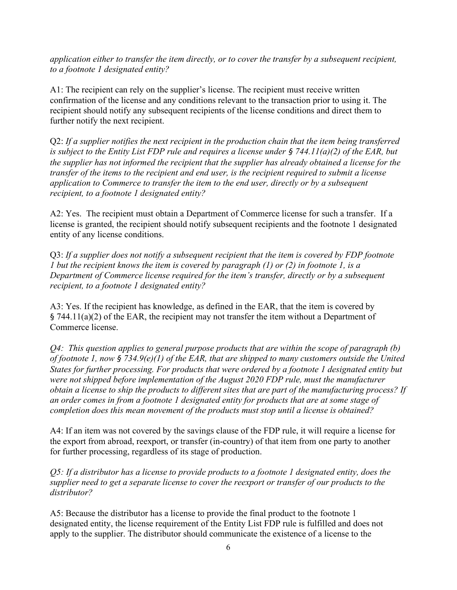application either to transfer the item directly, or to cover the transfer by a subsequent recipient, to a footnote 1 designated entity?

A1: The recipient can rely on the supplier's license. The recipient must receive written confirmation of the license and any conditions relevant to the transaction prior to using it. The recipient should notify any subsequent recipients of the license conditions and direct them to further notify the next recipient.

Q2: If a supplier notifies the next recipient in the production chain that the item being transferred is subject to the Entity List FDP rule and requires a license under  $\S$  744.11(a)(2) of the EAR, but the supplier has not informed the recipient that the supplier has already obtained a license for the transfer of the items to the recipient and end user, is the recipient required to submit a license application to Commerce to transfer the item to the end user, directly or by a subsequent recipient, to a footnote 1 designated entity?

A2: Yes. The recipient must obtain a Department of Commerce license for such a transfer. If a license is granted, the recipient should notify subsequent recipients and the footnote 1 designated entity of any license conditions.

Q3: If a supplier does not notify a subsequent recipient that the item is covered by FDP footnote 1 but the recipient knows the item is covered by paragraph (1) or (2) in footnote 1, is a Department of Commerce license required for the item's transfer, directly or by a subsequent recipient, to a footnote 1 designated entity?

A3: Yes. If the recipient has knowledge, as defined in the EAR, that the item is covered by § 744.11(a)(2) of the EAR, the recipient may not transfer the item without a Department of Commerce license.

 $Q_4$ : This question applies to general purpose products that are within the scope of paragraph (b) of footnote 1, now § 734.9(e)(1) of the EAR, that are shipped to many customers outside the United States for further processing. For products that were ordered by a footnote 1 designated entity but were not shipped before implementation of the August 2020 FDP rule, must the manufacturer obtain a license to ship the products to different sites that are part of the manufacturing process? If an order comes in from a footnote 1 designated entity for products that are at some stage of completion does this mean movement of the products must stop until a license is obtained?

A4: If an item was not covered by the savings clause of the FDP rule, it will require a license for the export from abroad, reexport, or transfer (in-country) of that item from one party to another for further processing, regardless of its stage of production.

Q5: If a distributor has a license to provide products to a footnote 1 designated entity, does the supplier need to get a separate license to cover the reexport or transfer of our products to the distributor?

A5: Because the distributor has a license to provide the final product to the footnote 1 designated entity, the license requirement of the Entity List FDP rule is fulfilled and does not apply to the supplier. The distributor should communicate the existence of a license to the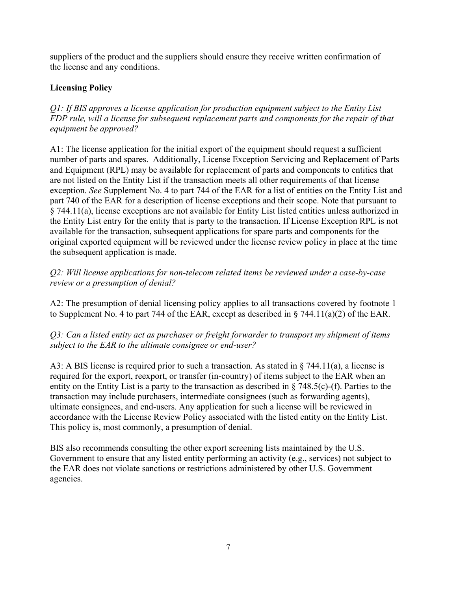suppliers of the product and the suppliers should ensure they receive written confirmation of the license and any conditions.

# Licensing Policy

Q1: If BIS approves a license application for production equipment subject to the Entity List FDP rule, will a license for subsequent replacement parts and components for the repair of that equipment be approved?

A1: The license application for the initial export of the equipment should request a sufficient number of parts and spares. Additionally, License Exception Servicing and Replacement of Parts and Equipment (RPL) may be available for replacement of parts and components to entities that are not listed on the Entity List if the transaction meets all other requirements of that license exception. See Supplement No. 4 to part 744 of the EAR for a list of entities on the Entity List and part 740 of the EAR for a description of license exceptions and their scope. Note that pursuant to § 744.11(a), license exceptions are not available for Entity List listed entities unless authorized in the Entity List entry for the entity that is party to the transaction. If License Exception RPL is not available for the transaction, subsequent applications for spare parts and components for the original exported equipment will be reviewed under the license review policy in place at the time the subsequent application is made.

Q2: Will license applications for non-telecom related items be reviewed under a case-by-case review or a presumption of denial?

A2: The presumption of denial licensing policy applies to all transactions covered by footnote 1 to Supplement No. 4 to part 744 of the EAR, except as described in § 744.11(a)(2) of the EAR.

Q3: Can a listed entity act as purchaser or freight forwarder to transport my shipment of items subject to the EAR to the ultimate consignee or end-user?

A3: A BIS license is required prior to such a transaction. As stated in § 744.11(a), a license is required for the export, reexport, or transfer (in-country) of items subject to the EAR when an entity on the Entity List is a party to the transaction as described in § 748.5(c)-(f). Parties to the transaction may include purchasers, intermediate consignees (such as forwarding agents), ultimate consignees, and end-users. Any application for such a license will be reviewed in accordance with the License Review Policy associated with the listed entity on the Entity List. This policy is, most commonly, a presumption of denial.

BIS also recommends consulting the other export screening lists maintained by the U.S. Government to ensure that any listed entity performing an activity (e.g., services) not subject to the EAR does not violate sanctions or restrictions administered by other U.S. Government agencies.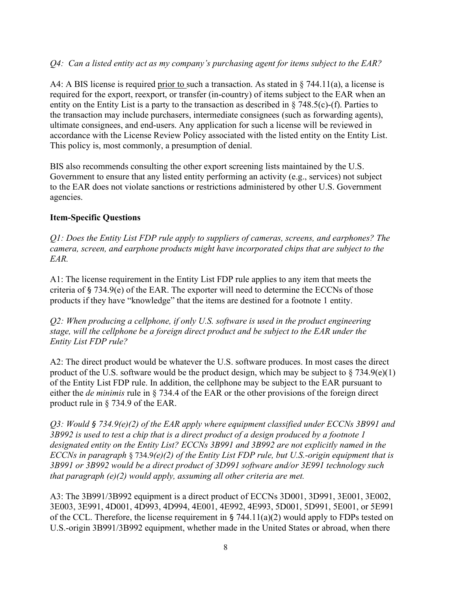## Q4: Can a listed entity act as my company's purchasing agent for items subject to the EAR?

A4: A BIS license is required prior to such a transaction. As stated in § 744.11(a), a license is required for the export, reexport, or transfer (in-country) of items subject to the EAR when an entity on the Entity List is a party to the transaction as described in § 748.5(c)-(f). Parties to the transaction may include purchasers, intermediate consignees (such as forwarding agents), ultimate consignees, and end-users. Any application for such a license will be reviewed in accordance with the License Review Policy associated with the listed entity on the Entity List. This policy is, most commonly, a presumption of denial.

BIS also recommends consulting the other export screening lists maintained by the U.S. Government to ensure that any listed entity performing an activity (e.g., services) not subject to the EAR does not violate sanctions or restrictions administered by other U.S. Government agencies.

## Item-Specific Questions

Q1: Does the Entity List FDP rule apply to suppliers of cameras, screens, and earphones? The camera, screen, and earphone products might have incorporated chips that are subject to the EAR.

A1: The license requirement in the Entity List FDP rule applies to any item that meets the criteria of § 734.9(e) of the EAR. The exporter will need to determine the ECCNs of those products if they have "knowledge" that the items are destined for a footnote 1 entity.

Q2: When producing a cellphone, if only U.S. software is used in the product engineering stage, will the cellphone be a foreign direct product and be subject to the EAR under the Entity List FDP rule?

A2: The direct product would be whatever the U.S. software produces. In most cases the direct product of the U.S. software would be the product design, which may be subject to  $\S 734.9(e)(1)$ of the Entity List FDP rule. In addition, the cellphone may be subject to the EAR pursuant to either the *de minimis* rule in § 734.4 of the EAR or the other provisions of the foreign direct product rule in § 734.9 of the EAR.

 $Q3$ : Would § 734.9(e)(2) of the EAR apply where equipment classified under ECCNs 3B991 and 3B992 is used to test a chip that is a direct product of a design produced by a footnote 1 designated entity on the Entity List? ECCNs 3B991 and 3B992 are not explicitly named in the ECCNs in paragraph § 734.9(e)(2) of the Entity List FDP rule, but U.S.-origin equipment that is 3B991 or 3B992 would be a direct product of 3D991 software and/or 3E991 technology such that paragraph  $(e)(2)$  would apply, assuming all other criteria are met.

A3: The 3B991/3B992 equipment is a direct product of ECCNs 3D001, 3D991, 3E001, 3E002, 3E003, 3E991, 4D001, 4D993, 4D994, 4E001, 4E992, 4E993, 5D001, 5D991, 5E001, or 5E991 of the CCL. Therefore, the license requirement in  $\S$  744.11(a)(2) would apply to FDPs tested on U.S.-origin 3B991/3B992 equipment, whether made in the United States or abroad, when there